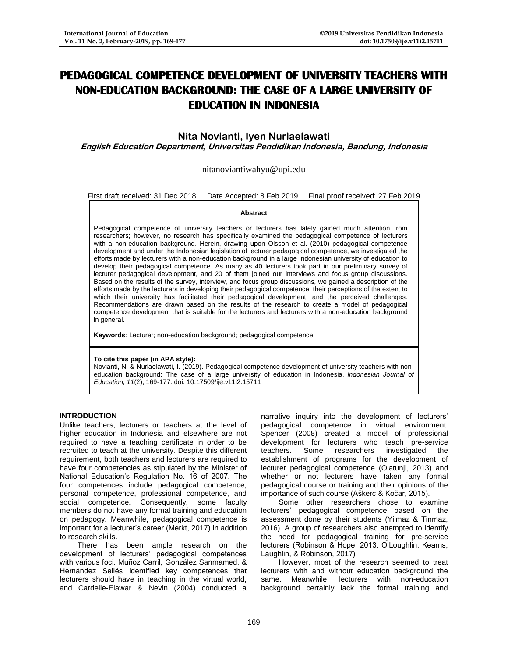# **PEDAGOGICAL COMPETENCE DEVELOPMENT OF UNIVERSITY TEACHERS WITH NON-EDUCATION BACKGROUND: THE CASE OF A LARGE UNIVERSITY OF EDUCATION IN INDONESIA**

**Nita Novianti, Iyen Nurlaelawati**

**English Education Department, Universitas Pendidikan Indonesia, Bandung, Indonesia**

nitanoviantiwahyu@upi.edu

First draft received: 31 Dec 2018 Date Accepted: 8 Feb 2019 Final proof received: 27 Feb 2019

#### **Abstract**

Pedagogical competence of university teachers or lecturers has lately gained much attention from researchers; however, no research has specifically examined the pedagogical competence of lecturers with a non-education background. Herein, drawing upon Olsson et al. (2010) pedagogical competence development and under the Indonesian legislation of lecturer pedagogical competence, we investigated the efforts made by lecturers with a non-education background in a large Indonesian university of education to develop their pedagogical competence. As many as 40 lecturers took part in our preliminary survey of lecturer pedagogical development, and 20 of them joined our interviews and focus group discussions. Based on the results of the survey, interview, and focus group discussions, we gained a description of the efforts made by the lecturers in developing their pedagogical competence, their perceptions of the extent to which their university has facilitated their pedagogical development, and the perceived challenges. Recommendations are drawn based on the results of the research to create a model of pedagogical competence development that is suitable for the lecturers and lecturers with a non-education background in general.

**Keywords**: Lecturer; non-education background; pedagogical competence

#### **To cite this paper (in APA style):**

Novianti, N. & Nurlaelawati, I. (2019). Pedagogical competence development of university teachers with noneducation background: The case of a large university of education in Indonesia. *Indonesian Journal of Education, 11*(2), 169-177. doi: 10.17509/ije.v11i2.15711

#### **INTRODUCTION**

Unlike teachers, lecturers or teachers at the level of higher education in Indonesia and elsewhere are not required to have a teaching certificate in order to be recruited to teach at the university. Despite this different requirement, both teachers and lecturers are required to have four competencies as stipulated by the Minister of National Education's Regulation No. 16 of 2007. The four competences include pedagogical competence, personal competence, professional competence, and social competence. Consequently, some faculty members do not have any formal training and education on pedagogy. Meanwhile, pedagogical competence is important for a lecturer's career (Merkt, 2017) in addition to research skills.

There has been ample research on the development of lecturers' pedagogical competences with various foci. Muñoz Carril, González Sanmamed, & Hernández Sellés identified key competences that lecturers should have in teaching in the virtual world, and Cardelle-Elawar & Nevin (2004) conducted a narrative inquiry into the development of lecturers' pedagogical competence in virtual environment. Spencer (2008) created a model of professional development for lecturers who teach pre-service teachers. Some researchers investigated the establishment of programs for the development of lecturer pedagogical competence (Olatunji, 2013) and whether or not lecturers have taken any formal pedagogical course or training and their opinions of the importance of such course (Aškerc & Kočar, 2015).

Some other researchers chose to examine lecturers' pedagogical competence based on the assessment done by their students (Yilmaz & Tinmaz, 2016). A group of researchers also attempted to identify the need for pedagogical training for pre-service lecturers (Robinson & Hope, 2013; O'Loughlin, Kearns, Laughlin, & Robinson, 2017)

However, most of the research seemed to treat lecturers with and without education background the same. Meanwhile, lecturers with non-education background certainly lack the formal training and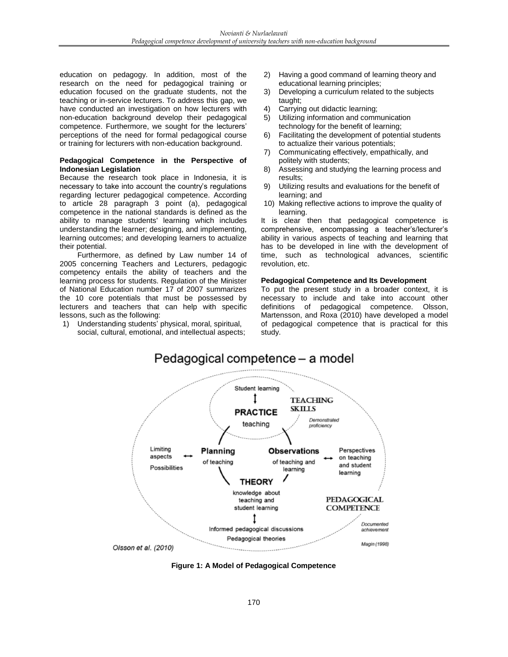education on pedagogy. In addition, most of the research on the need for pedagogical training or education focused on the graduate students, not the teaching or in-service lecturers. To address this gap, we have conducted an investigation on how lecturers with non-education background develop their pedagogical competence. Furthermore, we sought for the lecturers' perceptions of the need for formal pedagogical course or training for lecturers with non-education background.

## **Pedagogical Competence in the Perspective of Indonesian Legislation**

Because the research took place in Indonesia, it is necessary to take into account the country's regulations regarding lecturer pedagogical competence. According to article 28 paragraph 3 point (a), pedagogical competence in the national standards is defined as the ability to manage students' learning which includes understanding the learner; designing, and implementing, learning outcomes; and developing learners to actualize their potential.

Furthermore, as defined by Law number 14 of 2005 concerning Teachers and Lecturers, pedagogic competency entails the ability of teachers and the learning process for students. Regulation of the Minister of National Education number 17 of 2007 summarizes the 10 core potentials that must be possessed by lecturers and teachers that can help with specific lessons, such as the following:

1) Understanding students' physical, moral, spiritual, social, cultural, emotional, and intellectual aspects;

- 2) Having a good command of learning theory and educational learning principles;
- 3) Developing a curriculum related to the subjects taught;
- 4) Carrying out didactic learning;
- 5) Utilizing information and communication technology for the benefit of learning;
- 6) Facilitating the development of potential students to actualize their various potentials;
- 7) Communicating effectively, empathically, and politely with students;
- 8) Assessing and studying the learning process and results;
- 9) Utilizing results and evaluations for the benefit of learning; and
- 10) Making reflective actions to improve the quality of learning.

It is clear then that pedagogical competence is comprehensive, encompassing a teacher's/lecturer's ability in various aspects of teaching and learning that has to be developed in line with the development of time, such as technological advances, scientific revolution, etc.

## **Pedagogical Competence and Its Development**

To put the present study in a broader context, it is necessary to include and take into account other definitions of pedagogical competence. Olsson, Martensson, and Roxa (2010) have developed a model of pedagogical competence that is practical for this study.



**Figure 1: A Model of Pedagogical Competence**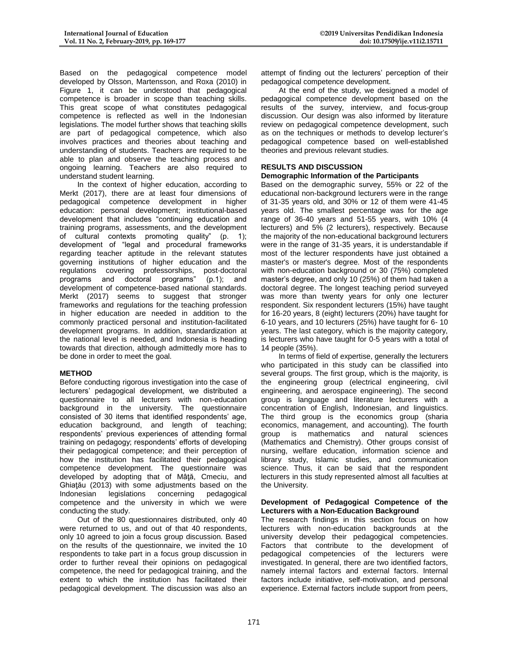Based on the pedagogical competence model developed by Olsson, Martensson, and Roxa (2010) in Figure 1, it can be understood that pedagogical competence is broader in scope than teaching skills. This great scope of what constitutes pedagogical competence is reflected as well in the Indonesian legislations. The model further shows that teaching skills are part of pedagogical competence, which also involves practices and theories about teaching and understanding of students. Teachers are required to be able to plan and observe the teaching process and ongoing learning. Teachers are also required to understand student learning.

In the context of higher education, according to Merkt (2017), there are at least four dimensions of pedagogical competence development in higher education: personal development; institutional-based development that includes "continuing education and training programs, assessments, and the development of cultural contexts promoting quality" (p. 1); development of "legal and procedural frameworks regarding teacher aptitude in the relevant statutes governing institutions of higher education and the regulations covering professorships, post-doctoral programs and doctoral programs" (p.1); and development of competence-based national standards. Merkt (2017) seems to suggest that stronger frameworks and regulations for the teaching profession in higher education are needed in addition to the commonly practiced personal and institution-facilitated development programs. In addition, standardization at the national level is needed, and Indonesia is heading towards that direction, although admittedly more has to be done in order to meet the goal.

# **METHOD**

Before conducting rigorous investigation into the case of lecturers' pedagogical development, we distributed a questionnaire to all lecturers with non-education background in the university. The questionnaire consisted of 30 items that identified respondents' age, education background, and length of teaching; respondents' previous experiences of attending formal training on pedagogy; respondents' efforts of developing their pedagogical competence; and their perception of how the institution has facilitated their pedagogical competence development. The questionnaire was developed by adopting that of Mâtă, Cmeciu, and Ghiaţău (2013) with some adjustments based on the Indonesian legislations concerning pedagogical Indonesian legislations concerning competence and the university in which we were conducting the study.

Out of the 80 questionnaires distributed, only 40 were returned to us, and out of that 40 respondents, only 10 agreed to join a focus group discussion. Based on the results of the questionnaire, we invited the 10 respondents to take part in a focus group discussion in order to further reveal their opinions on pedagogical competence, the need for pedagogical training, and the extent to which the institution has facilitated their pedagogical development. The discussion was also an

attempt of finding out the lecturers' perception of their pedagogical competence development.

At the end of the study, we designed a model of pedagogical competence development based on the results of the survey, interview, and focus-group discussion. Our design was also informed by literature review on pedagogical competence development, such as on the techniques or methods to develop lecturer's pedagogical competence based on well-established theories and previous relevant studies.

# **RESULTS AND DISCUSSION**

## **Demographic Information of the Participants**

Based on the demographic survey, 55% or 22 of the educational non-background lecturers were in the range of 31-35 years old, and 30% or 12 of them were 41-45 years old. The smallest percentage was for the age range of 36-40 years and 51-55 years, with 10% (4 lecturers) and 5% (2 lecturers), respectively. Because the majority of the non-educational background lecturers were in the range of 31-35 years, it is understandable if most of the lecturer respondents have just obtained a master's or master's degree. Most of the respondents with non-education background or 30 (75%) completed master's degree, and only 10 (25%) of them had taken a doctoral degree. The longest teaching period surveyed was more than twenty years for only one lecturer respondent. Six respondent lecturers (15%) have taught for 16-20 years, 8 (eight) lecturers (20%) have taught for 6-10 years, and 10 lecturers (25%) have taught for 6- 10 years. The last category, which is the majority category, is lecturers who have taught for 0-5 years with a total of 14 people (35%).

In terms of field of expertise, generally the lecturers who participated in this study can be classified into several groups. The first group, which is the majority, is the engineering group (electrical engineering, civil engineering, and aerospace engineering). The second group is language and literature lecturers with a concentration of English, Indonesian, and linguistics. The third group is the economics group (sharia economics, management, and accounting). The fourth group is mathematics and natural (Mathematics and Chemistry). Other groups consist of nursing, welfare education, information science and library study, Islamic studies, and communication science. Thus, it can be said that the respondent lecturers in this study represented almost all faculties at the University.

#### **Development of Pedagogical Competence of the Lecturers with a Non-Education Background**

The research findings in this section focus on how lecturers with non-education backgrounds at the university develop their pedagogical competencies. Factors that contribute to the development of pedagogical competencies of the lecturers were investigated. In general, there are two identified factors, namely internal factors and external factors. Internal factors include initiative, self-motivation, and personal experience. External factors include support from peers,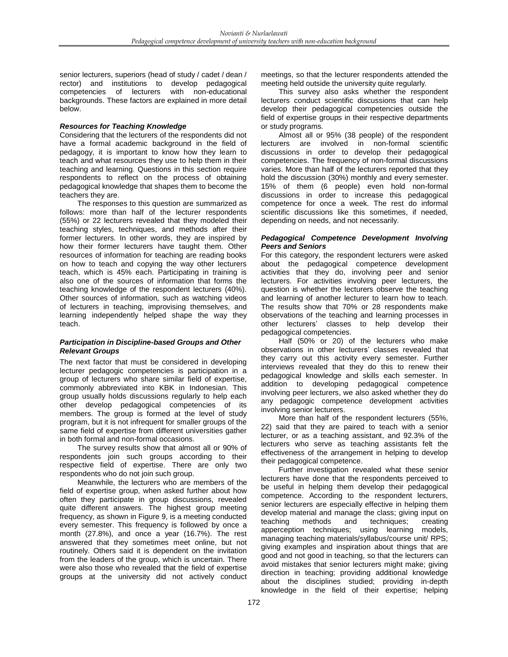senior lecturers, superiors (head of study / cadet / dean / rector) and institutions to develop pedagogical competencies of lecturers with non-educational backgrounds. These factors are explained in more detail below.

## *Resources for Teaching Knowledge*

Considering that the lecturers of the respondents did not have a formal academic background in the field of pedagogy, it is important to know how they learn to teach and what resources they use to help them in their teaching and learning. Questions in this section require respondents to reflect on the process of obtaining pedagogical knowledge that shapes them to become the teachers they are.

The responses to this question are summarized as follows: more than half of the lecturer respondents (55%) or 22 lecturers revealed that they modeled their teaching styles, techniques, and methods after their former lecturers. In other words, they are inspired by how their former lecturers have taught them. Other resources of information for teaching are reading books on how to teach and copying the way other lecturers teach, which is 45% each. Participating in training is also one of the sources of information that forms the teaching knowledge of the respondent lecturers (40%). Other sources of information, such as watching videos of lecturers in teaching, improvising themselves, and learning independently helped shape the way they teach.

### *Participation in Discipline-based Groups and Other Relevant Groups*

The next factor that must be considered in developing lecturer pedagogic competencies is participation in a group of lecturers who share similar field of expertise, commonly abbreviated into KBK in Indonesian. This group usually holds discussions regularly to help each other develop pedagogical competencies of its members. The group is formed at the level of study program, but it is not infrequent for smaller groups of the same field of expertise from different universities gather in both formal and non-formal occasions.

The survey results show that almost all or 90% of respondents join such groups according to their respective field of expertise. There are only two respondents who do not join such group.

Meanwhile, the lecturers who are members of the field of expertise group, when asked further about how often they participate in group discussions, revealed quite different answers. The highest group meeting frequency, as shown in Figure 9, is a meeting conducted every semester. This frequency is followed by once a month (27.8%), and once a year (16.7%). The rest answered that they sometimes meet online, but not routinely. Others said it is dependent on the invitation from the leaders of the group, which is uncertain. There were also those who revealed that the field of expertise groups at the university did not actively conduct meetings, so that the lecturer respondents attended the meeting held outside the university quite regularly.

This survey also asks whether the respondent lecturers conduct scientific discussions that can help develop their pedagogical competencies outside the field of expertise groups in their respective departments or study programs.

Almost all or 95% (38 people) of the respondent lecturers are involved in non-formal scientific discussions in order to develop their pedagogical competencies. The frequency of non-formal discussions varies. More than half of the lecturers reported that they hold the discussion (30%) monthly and every semester. 15% of them (6 people) even hold non-formal discussions in order to increase this pedagogical competence for once a week. The rest do informal scientific discussions like this sometimes, if needed, depending on needs, and not necessarily.

## *Pedagogical Competence Development Involving Peers and Seniors*

For this category, the respondent lecturers were asked about the pedagogical competence development activities that they do, involving peer and senior lecturers. For activities involving peer lecturers, the question is whether the lecturers observe the teaching and learning of another lecturer to learn how to teach. The results show that 70% or 28 respondents make observations of the teaching and learning processes in other lecturers' classes to help develop their pedagogical competencies.

Half (50% or 20) of the lecturers who make observations in other lecturers' classes revealed that they carry out this activity every semester. Further interviews revealed that they do this to renew their pedagogical knowledge and skills each semester. In addition to developing pedagogical competence involving peer lecturers, we also asked whether they do any pedagogic competence development activities involving senior lecturers.

More than half of the respondent lecturers (55%, 22) said that they are paired to teach with a senior lecturer, or as a teaching assistant, and 92.3% of the lecturers who serve as teaching assistants felt the effectiveness of the arrangement in helping to develop their pedagogical competence.

Further investigation revealed what these senior lecturers have done that the respondents perceived to be useful in helping them develop their pedagogical competence. According to the respondent lecturers, senior lecturers are especially effective in helping them develop material and manage the class; giving input on teaching methods and techniques; creating apperception techniques; using learning models, managing teaching materials/syllabus/course unit/ RPS; giving examples and inspiration about things that are good and not good in teaching, so that the lecturers can avoid mistakes that senior lecturers might make; giving direction in teaching; providing additional knowledge about the disciplines studied; providing in-depth knowledge in the field of their expertise; helping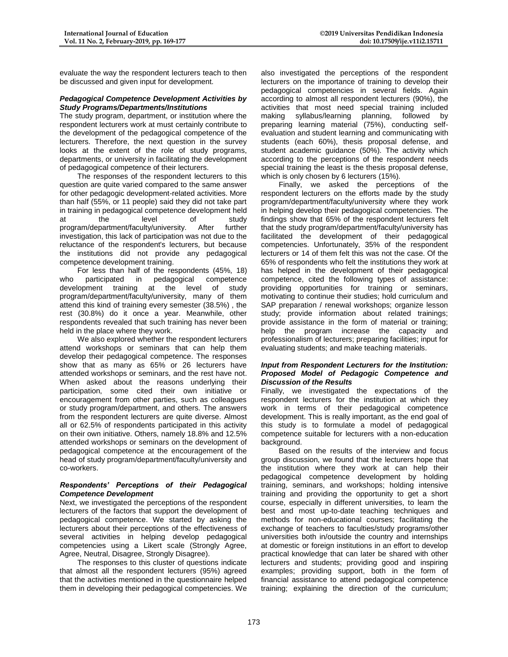evaluate the way the respondent lecturers teach to then be discussed and given input for development.

## *Pedagogical Competence Development Activities by Study Programs/Departments/Institutions*

The study program, department, or institution where the respondent lecturers work at must certainly contribute to the development of the pedagogical competence of the lecturers. Therefore, the next question in the survey looks at the extent of the role of study programs, departments, or university in facilitating the development of pedagogical competence of their lecturers.

The responses of the respondent lecturers to this question are quite varied compared to the same answer for other pedagogic development-related activities. More than half (55%, or 11 people) said they did not take part in training in pedagogical competence development held at the level of study program/department/faculty/university. After further investigation, this lack of participation was not due to the reluctance of the respondent's lecturers, but because the institutions did not provide any pedagogical competence development training.

For less than half of the respondents (45%, 18) who participated in pedagogical competence development training at the level of study program/department/faculty/university, many of them attend this kind of training every semester (38.5%) , the rest (30.8%) do it once a year. Meanwhile, other respondents revealed that such training has never been held in the place where they work.

We also explored whether the respondent lecturers attend workshops or seminars that can help them develop their pedagogical competence. The responses show that as many as 65% or 26 lecturers have attended workshops or seminars, and the rest have not. When asked about the reasons underlying their participation, some cited their own initiative or encouragement from other parties, such as colleagues or study program/department, and others. The answers from the respondent lecturers are quite diverse. Almost all or 62.5% of respondents participated in this activity on their own initiative. Others, namely 18.8% and 12.5% attended workshops or seminars on the development of pedagogical competence at the encouragement of the head of study program/department/faculty/university and co-workers.

## *Respondents' Perceptions of their Pedagogical Competence Development*

Next, we investigated the perceptions of the respondent lecturers of the factors that support the development of pedagogical competence. We started by asking the lecturers about their perceptions of the effectiveness of several activities in helping develop pedagogical competencies using a Likert scale (Strongly Agree, Agree, Neutral, Disagree, Strongly Disagree).

The responses to this cluster of questions indicate that almost all the respondent lecturers (95%) agreed that the activities mentioned in the questionnaire helped them in developing their pedagogical competencies. We also investigated the perceptions of the respondent lecturers on the importance of training to develop their pedagogical competencies in several fields. Again according to almost all respondent lecturers (90%), the activities that most need special training included making syllabus/learning planning, followed by preparing learning material (75%), conducting selfevaluation and student learning and communicating with students (each 60%), thesis proposal defense, and student academic guidance (50%). The activity which according to the perceptions of the respondent needs special training the least is the thesis proposal defense, which is only chosen by 6 lecturers (15%).

Finally, we asked the perceptions of the respondent lecturers on the efforts made by the study program/department/faculty/university where they work in helping develop their pedagogical competencies. The findings show that 65% of the respondent lecturers felt that the study program/department/faculty/university has facilitated the development of their pedagogical competencies. Unfortunately, 35% of the respondent lecturers or 14 of them felt this was not the case. Of the 65% of respondents who felt the institutions they work at has helped in the development of their pedagogical competence, cited the following types of assistance: providing opportunities for training or seminars, motivating to continue their studies; hold curriculum and SAP preparation / renewal workshops; organize lesson study; provide information about related trainings; provide assistance in the form of material or training; help the program increase the capacity and professionalism of lecturers; preparing facilities; input for evaluating students; and make teaching materials.

#### *Input from Respondent Lecturers for the Institution: Proposed Model of Pedagogic Competence and Discussion of the Results*

Finally, we investigated the expectations of the respondent lecturers for the institution at which they work in terms of their pedagogical competence development. This is really important, as the end goal of this study is to formulate a model of pedagogical competence suitable for lecturers with a non-education background.

Based on the results of the interview and focus group discussion, we found that the lecturers hope that the institution where they work at can help their pedagogical competence development by holding training, seminars, and workshops; holding intensive training and providing the opportunity to get a short course, especially in different universities, to learn the best and most up-to-date teaching techniques and methods for non-educational courses; facilitating the exchange of teachers to faculties/study programs/other universities both in/outside the country and internships at domestic or foreign institutions in an effort to develop practical knowledge that can later be shared with other lecturers and students; providing good and inspiring examples; providing support, both in the form of financial assistance to attend pedagogical competence training; explaining the direction of the curriculum;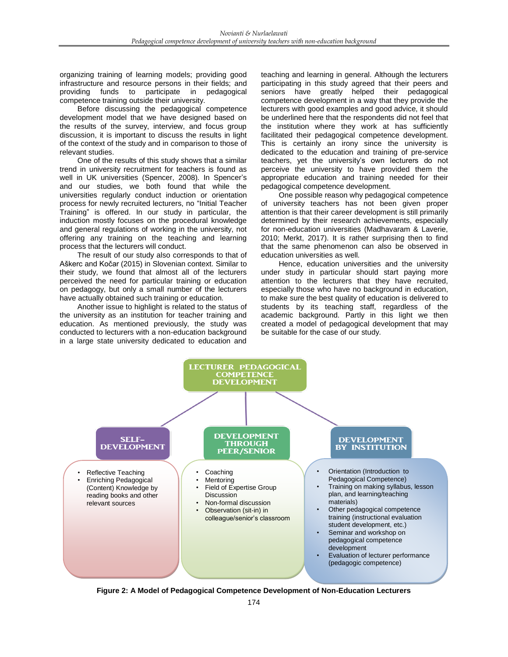organizing training of learning models; providing good infrastructure and resource persons in their fields; and providing funds to participate in pedagogical competence training outside their university.

Before discussing the pedagogical competence development model that we have designed based on the results of the survey, interview, and focus group discussion, it is important to discuss the results in light of the context of the study and in comparison to those of relevant studies.

One of the results of this study shows that a similar trend in university recruitment for teachers is found as well in UK universities (Spencer, 2008). In Spencer's and our studies, we both found that while the universities regularly conduct induction or orientation process for newly recruited lecturers, no "Initial Teacher Training" is offered. In our study in particular, the induction mostly focuses on the procedural knowledge and general regulations of working in the university, not offering any training on the teaching and learning process that the lecturers will conduct.

The result of our study also corresponds to that of Aškerc and Kočar (2015) in Slovenian context. Similar to their study, we found that almost all of the lecturers perceived the need for particular training or education on pedagogy, but only a small number of the lecturers have actually obtained such training or education.

Another issue to highlight is related to the status of the university as an institution for teacher training and education. As mentioned previously, the study was conducted to lecturers with a non-education background in a large state university dedicated to education and teaching and learning in general. Although the lecturers participating in this study agreed that their peers and seniors have greatly helped their pedagogical competence development in a way that they provide the lecturers with good examples and good advice, it should be underlined here that the respondents did not feel that the institution where they work at has sufficiently facilitated their pedagogical competence development. This is certainly an irony since the university is dedicated to the education and training of pre-service teachers, yet the university's own lecturers do not perceive the university to have provided them the appropriate education and training needed for their pedagogical competence development.

One possible reason why pedagogical competence of university teachers has not been given proper attention is that their career development is still primarily determined by their research achievements, especially for non-education universities (Madhavaram & Laverie, 2010; Merkt, 2017). It is rather surprising then to find that the same phenomenon can also be observed in education universities as well.

Hence, education universities and the university under study in particular should start paying more attention to the lecturers that they have recruited, especially those who have no background in education, to make sure the best quality of education is delivered to students by its teaching staff, regardless of the academic background. Partly in this light we then created a model of pedagogical development that may be suitable for the case of our study.



**Figure 2: A Model of Pedagogical Competence Development of Non-Education Lecturers**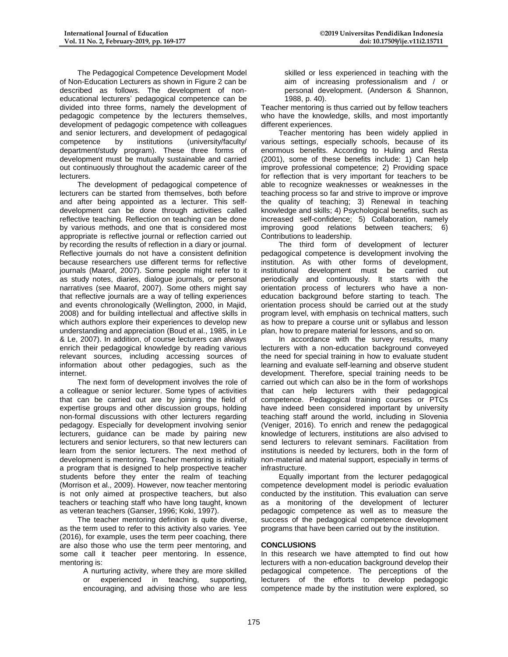The Pedagogical Competence Development Model of Non-Education Lecturers as shown in Figure 2 can be described as follows. The development of noneducational lecturers' pedagogical competence can be divided into three forms, namely the development of pedagogic competence by the lecturers themselves, development of pedagogic competence with colleagues and senior lecturers, and development of pedagogical competence by institutions (university/faculty/ department/study program). These three forms of development must be mutually sustainable and carried out continuously throughout the academic career of the **lecturers** 

The development of pedagogical competence of lecturers can be started from themselves, both before and after being appointed as a lecturer. This selfdevelopment can be done through activities called reflective teaching. Reflection on teaching can be done by various methods, and one that is considered most appropriate is reflective journal or reflection carried out by recording the results of reflection in a diary or journal. Reflective journals do not have a consistent definition because researchers use different terms for reflective journals (Maarof, 2007). Some people might refer to it as study notes, diaries, dialogue journals, or personal narratives (see Maarof, 2007). Some others might say that reflective journals are a way of telling experiences and events chronologically (Wellington, 2000, in Majid, 2008) and for building intellectual and affective skills in which authors explore their experiences to develop new understanding and appreciation (Boud et al., 1985, in Le & Le, 2007). In addition, of course lecturers can always enrich their pedagogical knowledge by reading various relevant sources, including accessing sources of information about other pedagogies, such as the internet.

The next form of development involves the role of a colleague or senior lecturer. Some types of activities that can be carried out are by joining the field of expertise groups and other discussion groups, holding non-formal discussions with other lecturers regarding pedagogy. Especially for development involving senior lecturers, guidance can be made by pairing new lecturers and senior lecturers, so that new lecturers can learn from the senior lecturers. The next method of development is mentoring. Teacher mentoring is initially a program that is designed to help prospective teacher students before they enter the realm of teaching (Morrison et al., 2009). However, now teacher mentoring is not only aimed at prospective teachers, but also teachers or teaching staff who have long taught, known as veteran teachers (Ganser, 1996; Koki, 1997).

The teacher mentoring definition is quite diverse, as the term used to refer to this activity also varies. Yee (2016), for example, uses the term peer coaching, there are also those who use the term peer mentoring, and some call it teacher peer mentoring. In essence, mentoring is:

> A nurturing activity, where they are more skilled or experienced in teaching, supporting, encouraging, and advising those who are less

skilled or less experienced in teaching with the aim of increasing professionalism and / or personal development. (Anderson & Shannon, 1988, p. 40).

Teacher mentoring is thus carried out by fellow teachers who have the knowledge, skills, and most importantly different experiences.

Teacher mentoring has been widely applied in various settings, especially schools, because of its enormous benefits. According to Huling and Resta (2001), some of these benefits include: 1) Can help improve professional competence; 2) Providing space for reflection that is very important for teachers to be able to recognize weaknesses or weaknesses in the teaching process so far and strive to improve or improve the quality of teaching; 3) Renewal in teaching knowledge and skills; 4) Psychological benefits, such as increased self-confidence; 5) Collaboration, namely improving good relations between teachers; 6) Contributions to leadership.

The third form of development of lecturer pedagogical competence is development involving the institution. As with other forms of development, institutional development must be carried out periodically and continuously. It starts with the orientation process of lecturers who have a noneducation background before starting to teach. The orientation process should be carried out at the study program level, with emphasis on technical matters, such as how to prepare a course unit or syllabus and lesson plan, how to prepare material for lessons, and so on.

In accordance with the survey results, many lecturers with a non-education background conveyed the need for special training in how to evaluate student learning and evaluate self-learning and observe student development. Therefore, special training needs to be carried out which can also be in the form of workshops that can help lecturers with their pedagogical competence. Pedagogical training courses or PTCs have indeed been considered important by university teaching staff around the world, including in Slovenia (Veniger, 2016). To enrich and renew the pedagogical knowledge of lecturers, institutions are also advised to send lecturers to relevant seminars. Facilitation from institutions is needed by lecturers, both in the form of non-material and material support, especially in terms of infrastructure.

Equally important from the lecturer pedagogical competence development model is periodic evaluation conducted by the institution. This evaluation can serve as a monitoring of the development of lecturer pedagogic competence as well as to measure the success of the pedagogical competence development programs that have been carried out by the institution.

# **CONCLUSIONS**

In this research we have attempted to find out how lecturers with a non-education background develop their pedagogical competence. The perceptions of the lecturers of the efforts to develop pedagogic competence made by the institution were explored, so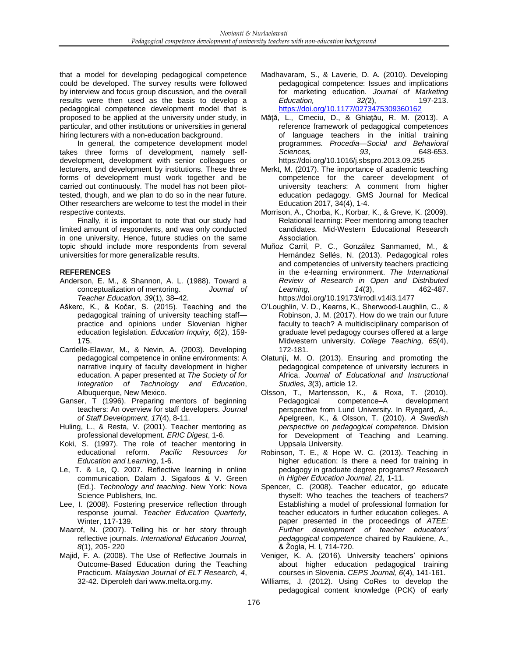that a model for developing pedagogical competence could be developed. The survey results were followed by interview and focus group discussion, and the overall results were then used as the basis to develop a pedagogical competence development model that is proposed to be applied at the university under study, in particular, and other institutions or universities in general hiring lecturers with a non-education background.

In general, the competence development model takes three forms of development, namely selfdevelopment, development with senior colleagues or lecturers, and development by institutions. These three forms of development must work together and be carried out continuously. The model has not been pilottested, though, and we plan to do so in the near future. Other researchers are welcome to test the model in their respective contexts.

Finally, it is important to note that our study had limited amount of respondents, and was only conducted in one university. Hence, future studies on the same topic should include more respondents from several universities for more generalizable results.

## **REFERENCES**

- Anderson, E. M., & Shannon, A. L. (1988). Toward a conceptualization of mentoring. *Journal of Teacher Education, 39*(1), 38–42.
- Aškerc, K., & Kočar, S. (2015). Teaching and the pedagogical training of university teaching staff practice and opinions under Slovenian higher education legislation. *Education Inquiry, 6*(2), 159- 175.
- Cardelle-Elawar, M., & Nevin, A. (2003). Developing pedagogical competence in online environments: A narrative inquiry of faculty development in higher education. A paper presented at *The Society of for Integration of Technology and Education*, Albuquerque, New Mexico.
- Ganser, T (1996). Preparing mentors of beginning teachers: An overview for staff developers. *Journal of Staff Development, 17*(4), 8-11.
- Huling, L., & Resta, V. (2001). Teacher mentoring as professional development. *ERIC Digest*, 1-6.
- Koki, S. (1997). The role of teacher mentoring in educational reform. *Pacific Resources for Education and Learning*, 1-6.
- Le, T. & Le, Q. 2007. Reflective learning in online communication. Dalam J. Sigafoos & V. Green (Ed.). *Technology and teaching*. New York: Nova Science Publishers, Inc.
- Lee, I. (2008). Fostering preservice reflection through response journal. *Teacher Education Quarterly,* Winter, 117-139.
- Maarof, N. (2007). Telling his or her story through reflective journals. *International Education Journal, 8*(1), 205- 220
- Majid, F. A. (2008). The Use of Reflective Journals in Outcome-Based Education during the Teaching Practicum. *Malaysian Journal of ELT Research, 4*, 32-42. Diperoleh dari www.melta.org.my.
- Madhavaram, S., & Laverie, D. A. (2010). Developing pedagogical competence: Issues and implications for marketing education. *Journal of Marketing Education, 32(*2), 197-213. <https://doi.org/10.1177/0273475309360162>
- Mâţă, L., Cmeciu, D., & Ghiaţău, R. M. (2013). A reference framework of pedagogical competences of language teachers in the initial training programmes. *Procedia—Social and Behavioral Sciences, 93*, 648-653. https://doi.org/10.1016/j.sbspro.2013.09.255
- Merkt, M. (2017). The importance of academic teaching competence for the career development of university teachers: A comment from higher education pedagogy. GMS Journal for Medical Education 2017, 34(4), 1-4.
- Morrison, A., Chorba, K., Korbar, K., & Greve, K. (2009). Relational learning: Peer mentoring among teacher candidates. Mid-Western Educational Research Association.
- Muñoz Carril, P. C., González Sanmamed, M., & Hernández Sellés, N. (2013). Pedagogical roles and competencies of university teachers practicing in the e-learning environment. *The International Review of Research in Open and Distributed Learning, 14*(3), 462-487. https://doi.org/10.19173/irrodl.v14i3.1477
- O'Loughlin, V. D., Kearns, K., Sherwood-Laughlin, C., & Robinson, J. M. (2017). How do we train our future faculty to teach? A multidisciplinary comparison of graduate level pedagogy courses offered at a large Midwestern university. *College Teaching, 65*(4), 172-181.
- Olatunji, M. O. (2013). Ensuring and promoting the pedagogical competence of university lecturers in Africa. *Journal of Educational and Instructional Studies, 3*(3), article 12.
- Olsson, T., Martensson, K., & Roxa, T. (2010). Pedagogical competence–A development perspective from Lund University. In Ryegard, A., Apelgreen, K., & Olsson, T. (2010). *A Swedish perspective on pedagogical competence.* Division for Development of Teaching and Learning. Uppsala University.
- Robinson, T. E., & Hope W. C. (2013). Teaching in higher education: Is there a need for training in pedagogy in graduate degree programs? *Research in Higher Education Journal, 21,* 1-11.
- Spencer, C. (2008). Teacher educator, go educate thyself: Who teaches the teachers of teachers? Establishing a model of professional formation for teacher educators in further education colleges. A paper presented in the proceedings of *ATEE: Further development of teacher educators' pedagogical competence* chaired by Raukiene, A., & Žogla, H. I*,* 714-720.
- Veniger, K. A. (2016). University teachers' opinions about higher education pedagogical training courses in Slovenia. *CEPS Journal, 6*(4), 141-161.
- Williams, J. (2012). Using CoRes to develop the pedagogical content knowledge (PCK) of early